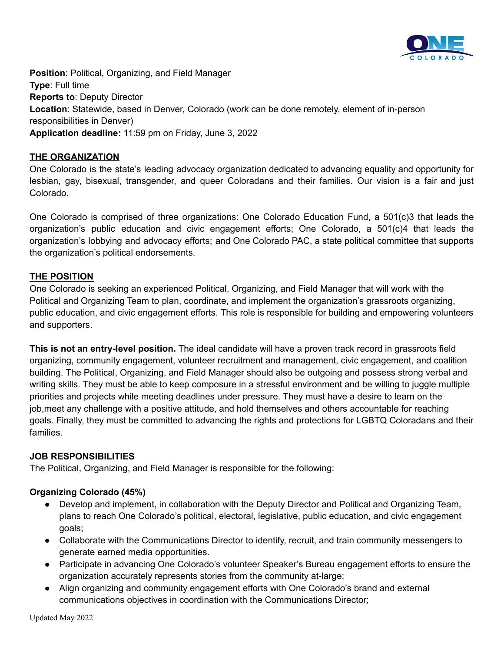

**Position**: Political, Organizing, and Field Manager **Type**: Full time **Reports to**: Deputy Director **Location**: Statewide, based in Denver, Colorado (work can be done remotely, element of in-person responsibilities in Denver) **Application deadline:** 11:59 pm on Friday, June 3, 2022

### **THE ORGANIZATION**

One Colorado is the state's leading advocacy organization dedicated to advancing equality and opportunity for lesbian, gay, bisexual, transgender, and queer Coloradans and their families. Our vision is a fair and just Colorado.

One Colorado is comprised of three organizations: One Colorado Education Fund, a 501(c)3 that leads the organization's public education and civic engagement efforts; One Colorado, a 501(c)4 that leads the organization's lobbying and advocacy efforts; and One Colorado PAC, a state political committee that supports the organization's political endorsements.

#### **THE POSITION**

One Colorado is seeking an experienced Political, Organizing, and Field Manager that will work with the Political and Organizing Team to plan, coordinate, and implement the organization's grassroots organizing, public education, and civic engagement efforts. This role is responsible for building and empowering volunteers and supporters.

**This is not an entry-level position.** The ideal candidate will have a proven track record in grassroots field organizing, community engagement, volunteer recruitment and management, civic engagement, and coalition building. The Political, Organizing, and Field Manager should also be outgoing and possess strong verbal and writing skills. They must be able to keep composure in a stressful environment and be willing to juggle multiple priorities and projects while meeting deadlines under pressure. They must have a desire to learn on the job,meet any challenge with a positive attitude, and hold themselves and others accountable for reaching goals. Finally, they must be committed to advancing the rights and protections for LGBTQ Coloradans and their families.

#### **JOB RESPONSIBILITIES**

The Political, Organizing, and Field Manager is responsible for the following:

#### **Organizing Colorado (45%)**

- Develop and implement, in collaboration with the Deputy Director and Political and Organizing Team, plans to reach One Colorado's political, electoral, legislative, public education, and civic engagement goals;
- Collaborate with the Communications Director to identify, recruit, and train community messengers to generate earned media opportunities.
- Participate in advancing One Colorado's volunteer Speaker's Bureau engagement efforts to ensure the organization accurately represents stories from the community at-large;
- Align organizing and community engagement efforts with One Colorado's brand and external communications objectives in coordination with the Communications Director;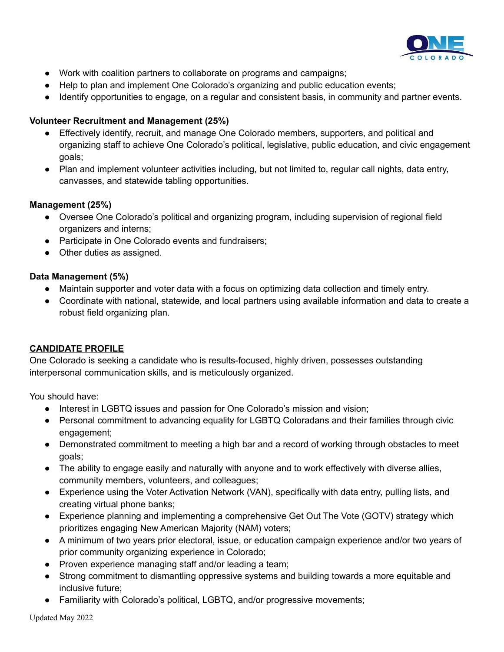

- Work with coalition partners to collaborate on programs and campaigns;
- Help to plan and implement One Colorado's organizing and public education events;
- Identify opportunities to engage, on a regular and consistent basis, in community and partner events.

### **Volunteer Recruitment and Management (25%)**

- Effectively identify, recruit, and manage One Colorado members, supporters, and political and organizing staff to achieve One Colorado's political, legislative, public education, and civic engagement goals;
- Plan and implement volunteer activities including, but not limited to, regular call nights, data entry, canvasses, and statewide tabling opportunities.

#### **Management (25%)**

- Oversee One Colorado's political and organizing program, including supervision of regional field organizers and interns;
- Participate in One Colorado events and fundraisers;
- Other duties as assigned.

#### **Data Management (5%)**

- Maintain supporter and voter data with a focus on optimizing data collection and timely entry.
- Coordinate with national, statewide, and local partners using available information and data to create a robust field organizing plan.

# **CANDIDATE PROFILE**

One Colorado is seeking a candidate who is results-focused, highly driven, possesses outstanding interpersonal communication skills, and is meticulously organized.

You should have:

- Interest in LGBTQ issues and passion for One Colorado's mission and vision;
- Personal commitment to advancing equality for LGBTQ Coloradans and their families through civic engagement;
- Demonstrated commitment to meeting a high bar and a record of working through obstacles to meet goals;
- The ability to engage easily and naturally with anyone and to work effectively with diverse allies, community members, volunteers, and colleagues;
- Experience using the Voter Activation Network (VAN), specifically with data entry, pulling lists, and creating virtual phone banks;
- Experience planning and implementing a comprehensive Get Out The Vote (GOTV) strategy which prioritizes engaging New American Majority (NAM) voters;
- A minimum of two years prior electoral, issue, or education campaign experience and/or two years of prior community organizing experience in Colorado;
- Proven experience managing staff and/or leading a team;
- Strong commitment to dismantling oppressive systems and building towards a more equitable and inclusive future;
- Familiarity with Colorado's political, LGBTQ, and/or progressive movements;